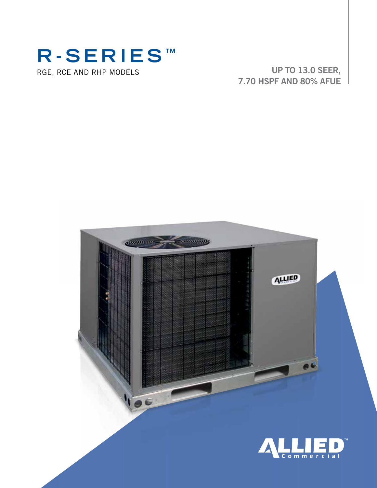# RGE, RCE AND RHP MODELS **R-SERIES ™**

UP TO 13.0 SEER, 7.70 HSPF AND 80% AFUE

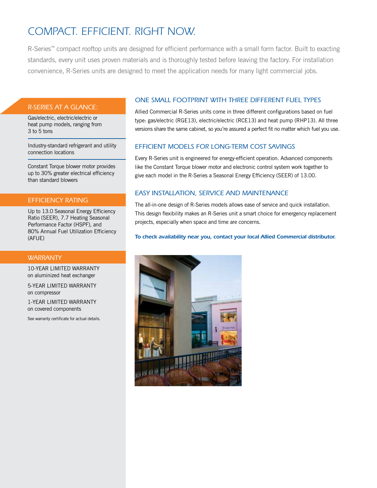## *COMPACT. EFFICIENT. RIGHT NOW.*

R-Series™ compact rooftop units are designed for efficient performance with a small form factor. Built to exacting standards, every unit uses proven materials and is thoroughly tested before leaving the factory. For installation convenience, R-Series units are designed to meet the application needs for many light commercial jobs.

#### *R-SERIES AT A GLANCE:*

Gas/electric, electric/electric or heat pump models, ranging from 3 to 5 tons

Industry-standard refrigerant and utility connection locations

Constant Torque blower motor provides up to 30% greater electrical efficiency than standard blowers

#### *EFFICIENCY RATING*

Up to 13.0 Seasonal Energy Efficiency Ratio (SEER), 7.7 Heating Seasonal Performance Factor (HSPF), and 80% Annual Fuel Utilization Efficiency (AFUE)

#### *WARRANTY*

10-YEAR LIMITED WARRANTY on aluminized heat exchanger

5-YEAR LIMITED WARRANTY on compressor

1-YEAR LIMITED WARRANTY on covered components

See warranty certificate for actual details.

#### *ONE SMALL FOOTPRINT WITH THREE DIFFERENT FUEL TYPES*

Allied Commercial R-Series units come in three different configurations based on fuel type: gas/electric (RGE13), electric/electric (RCE13) and heat pump (RHP13). All three versions share the same cabinet, so you're assured a perfect fit no matter which fuel you use.

#### *EFFICIENT MODELS FOR LONG-TERM COST SAVINGS*

Every R-Series unit is engineered for energy-efficient operation. Advanced components like the Constant Torque blower motor and electronic control system work together to give each model in the R-Series a Seasonal Energy Efficiency (SEER) of 13.00.

#### *EASY INSTALLATION, SERVICE AND MAINTENANCE*

The all-in-one design of R-Series models allows ease of service and quick installation. This design flexibility makes an R-Series unit a smart choice for emergency replacement projects, especially when space and time are concerns.

*To check availability near you, contact your local Allied Commercial distributor.*

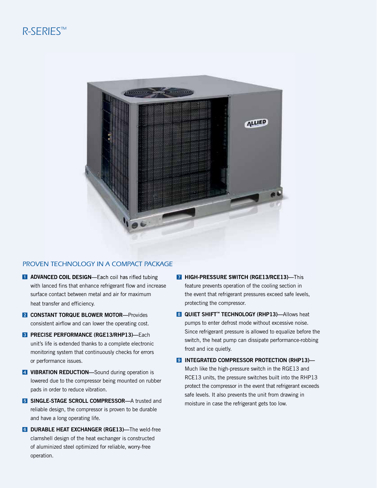### *R-SERIES™*



#### *PROVEN TECHNOLOGY IN A COMPACT PACKAGE*

- **1 ADVANCED COIL DESIGN**—Each coil has rifled tubing with lanced fins that enhance refrigerant flow and increase surface contact between metal and air for maximum heat transfer and efficiency.
- **2 CONSTANT TORQUE BLOWER MOTOR—Provides** consistent airflow and can lower the operating cost.
- **3 PRECISE PERFORMANCE (RGE13/RHP13)-Each** unit's life is extended thanks to a complete electronic monitoring system that continuously checks for errors or performance issues.
- 4 VIBRATION REDUCTION-Sound during operation is lowered due to the compressor being mounted on rubber pads in order to reduce vibration.
- **5** SINGLE-STAGE SCROLL COMPRESSOR—A trusted and reliable design, the compressor is proven to be durable and have a long operating life.
- **6 DURABLE HEAT EXCHANGER (RGE13)**—The weld-free clamshell design of the heat exchanger is constructed of aluminized steel optimized for reliable, worry-free operation.
- **7 HIGH-PRESSURE SWITCH (RGE13/RCE13)—This** feature prevents operation of the cooling section in the event that refrigerant pressures exceed safe levels, protecting the compressor.
- **8 QUIET SHIFT™ TECHNOLOGY (RHP13)—Allows heat** pumps to enter defrost mode without excessive noise. Since refrigerant pressure is allowed to equalize before the switch, the heat pump can dissipate performance-robbing frost and ice quietly.
- 9 INTEGRATED COMPRESSOR PROTECTION (RHP13)-Much like the high-pressure switch in the RGE13 and RCE13 units, the pressure switches built into the RHP13 protect the compressor in the event that refrigerant exceeds safe levels. It also prevents the unit from drawing in moisture in case the refrigerant gets too low.